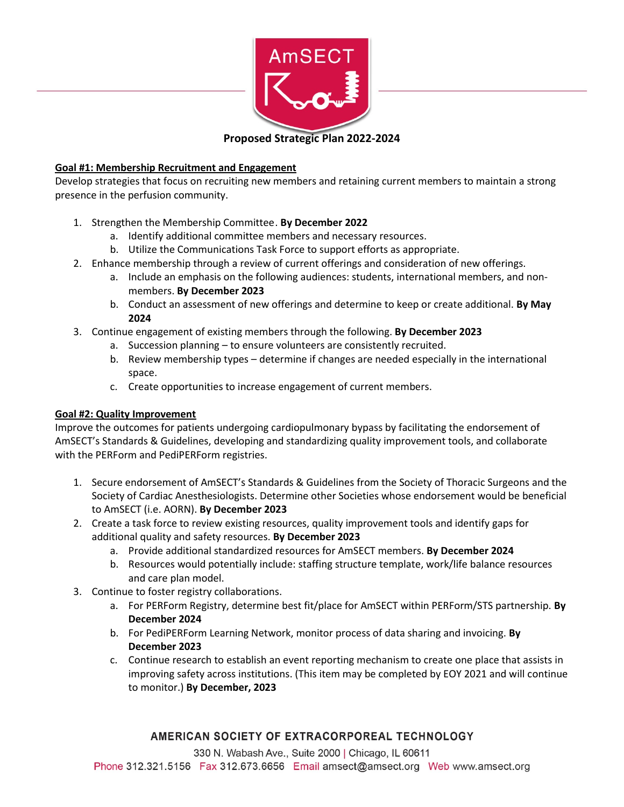

**Proposed Strategic Plan 2022-2024**

## **Goal #1: Membership Recruitment and Engagement**

Develop strategies that focus on recruiting new members and retaining current members to maintain a strong presence in the perfusion community.

- 1. Strengthen the Membership Committee. **By December 2022**
	- a. Identify additional committee members and necessary resources.
	- b. Utilize the Communications Task Force to support efforts as appropriate.
- 2. Enhance membership through a review of current offerings and consideration of new offerings.
	- a. Include an emphasis on the following audiences: students, international members, and nonmembers. **By December 2023**
	- b. Conduct an assessment of new offerings and determine to keep or create additional. **By May 2024**
- 3. Continue engagement of existing members through the following. **By December 2023**
	- a. Succession planning to ensure volunteers are consistently recruited.
	- b. Review membership types determine if changes are needed especially in the international space.
	- c. Create opportunities to increase engagement of current members.

#### **Goal #2: Quality Improvement**

Improve the outcomes for patients undergoing cardiopulmonary bypass by facilitating the endorsement of AmSECT's Standards & Guidelines, developing and standardizing quality improvement tools, and collaborate with the PERForm and PediPERForm registries.

- 1. Secure endorsement of AmSECT's Standards & Guidelines from the Society of Thoracic Surgeons and the Society of Cardiac Anesthesiologists. Determine other Societies whose endorsement would be beneficial to AmSECT (i.e. AORN). **By December 2023**
- 2. Create a task force to review existing resources, quality improvement tools and identify gaps for additional quality and safety resources. **By December 2023** 
	- a. Provide additional standardized resources for AmSECT members. **By December 2024**
	- b. Resources would potentially include: staffing structure template, work/life balance resources and care plan model.
- 3. Continue to foster registry collaborations.
	- a. For PERForm Registry, determine best fit/place for AmSECT within PERForm/STS partnership. **By December 2024**
	- b. For PediPERForm Learning Network, monitor process of data sharing and invoicing. **By December 2023**
	- c. Continue research to establish an event reporting mechanism to create one place that assists in improving safety across institutions. (This item may be completed by EOY 2021 and will continue to monitor.) **By December, 2023**

# AMERICAN SOCIETY OF EXTRACORPOREAL TECHNOLOGY